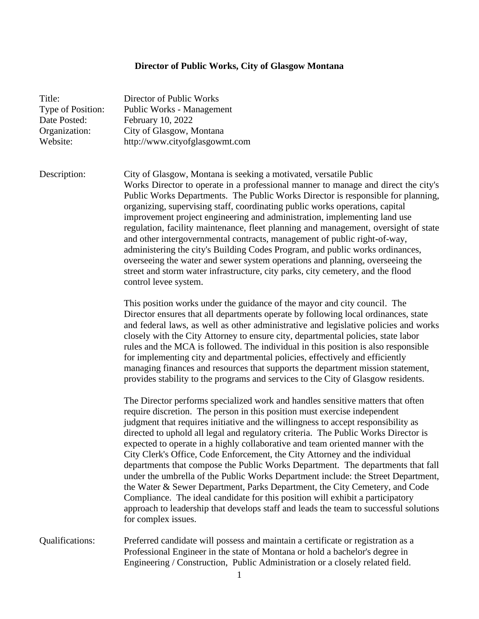## **Director of Public Works, City of Glasgow Montana**

| Title:<br>Type of Position:<br>Date Posted:<br>Organization:<br>Website: | Director of Public Works<br>Public Works - Management<br>February 10, 2022<br>City of Glasgow, Montana<br>http://www.cityofglasgowmt.com                                                                                                                                                                                                                                                                                                                                                                                                                                                                                                                                                                                                                                                                                                                                                                                                                           |
|--------------------------------------------------------------------------|--------------------------------------------------------------------------------------------------------------------------------------------------------------------------------------------------------------------------------------------------------------------------------------------------------------------------------------------------------------------------------------------------------------------------------------------------------------------------------------------------------------------------------------------------------------------------------------------------------------------------------------------------------------------------------------------------------------------------------------------------------------------------------------------------------------------------------------------------------------------------------------------------------------------------------------------------------------------|
| Description:                                                             | City of Glasgow, Montana is seeking a motivated, versatile Public<br>Works Director to operate in a professional manner to manage and direct the city's<br>Public Works Departments. The Public Works Director is responsible for planning,<br>organizing, supervising staff, coordinating public works operations, capital<br>improvement project engineering and administration, implementing land use<br>regulation, facility maintenance, fleet planning and management, oversight of state<br>and other intergovernmental contracts, management of public right-of-way,<br>administering the city's Building Codes Program, and public works ordinances,<br>overseeing the water and sewer system operations and planning, overseeing the<br>street and storm water infrastructure, city parks, city cemetery, and the flood<br>control levee system.                                                                                                         |
|                                                                          | This position works under the guidance of the mayor and city council. The<br>Director ensures that all departments operate by following local ordinances, state<br>and federal laws, as well as other administrative and legislative policies and works<br>closely with the City Attorney to ensure city, departmental policies, state labor<br>rules and the MCA is followed. The individual in this position is also responsible<br>for implementing city and departmental policies, effectively and efficiently<br>managing finances and resources that supports the department mission statement,<br>provides stability to the programs and services to the City of Glasgow residents.                                                                                                                                                                                                                                                                         |
|                                                                          | The Director performs specialized work and handles sensitive matters that often<br>require discretion. The person in this position must exercise independent<br>judgment that requires initiative and the willingness to accept responsibility as<br>directed to uphold all legal and regulatory criteria. The Public Works Director is<br>expected to operate in a highly collaborative and team oriented manner with the<br>City Clerk's Office, Code Enforcement, the City Attorney and the individual<br>departments that compose the Public Works Department. The departments that fall<br>under the umbrella of the Public Works Department include: the Street Department,<br>the Water & Sewer Department, Parks Department, the City Cemetery, and Code<br>Compliance. The ideal candidate for this position will exhibit a participatory<br>approach to leadership that develops staff and leads the team to successful solutions<br>for complex issues. |
| Qualifications:                                                          | Preferred candidate will possess and maintain a certificate or registration as a<br>Professional Engineer in the state of Montana or hold a bachelor's degree in<br>Engineering / Construction, Public Administration or a closely related field.<br>1                                                                                                                                                                                                                                                                                                                                                                                                                                                                                                                                                                                                                                                                                                             |